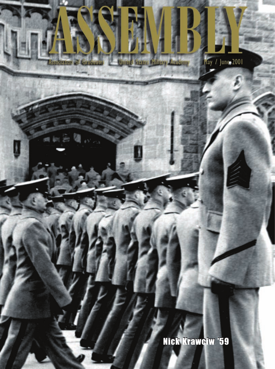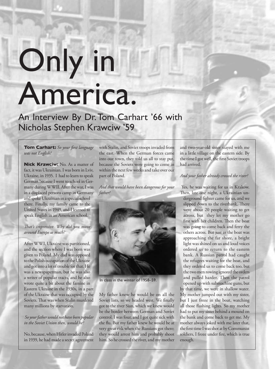# Only in America.

An Interview By Dr. Tom Carhart '66 with Nicholas Stephen Krawciw '59

#### **Tom Carhart:** *So your first language was not English?*

**Nick Krawciw:** No. As a matter of fact, it was Ukrainian. I was born in Lviv, Ukraine, in 1935. I had to learn to speak German because I went to school in Germany during WWII. After the war, I was in a displaced persons camp in Germany and spoke Ukrainian in a special school there. Finally, my family came to the United States in 1949, and I learned to speak English in an American school.

# *That's impressive. Why did you move around Europe so much?*

After WWI, Ukraine was partitioned, and the section where I was born was given to Poland. My dad was opposed to the Polish occupation of the Ukraine and got into a lot of trouble for that. He was a newspaperman, but he was also a writer of popular tracts, and he also wrote quite a bit about the famine in Eastern Ukraine in the 1930s, in a part of the Ukraine that was occupied by the Soviets. That was when Stalin murdered many millions by starvation.

#### *So your father would not have been popular in the Soviet Union then, would he?*

No, because, when Hitler invaded Poland in 1939, he had made a secret agreement

with Stalin, and Soviet troops invaded from the east. When the German forces came into our town, they told us all to stay put, because the Soviets were going to come in within the next few weeks and take over our part of Poland.

*And that would have been dangerous for your father?*



In class in the winter of 1958–59.

My father knew he would be on all the Soviet lists, so we headed west. We finally got to the river Sian, which we knew would be the border between German and Soviet control. I was four, and I got quite sick with the flu. But my father knew he would be at very great risk when the Russians got there; they would arrest him and probably shoot him. So he crossed the river, and my mother

and two-year-old sister stayed with me in a little village on the eastern side. By the time I got well, the first Soviet troops had arrived.

#### *And your father already crossed the river?*

 Yes, he was waiting for us in Krakow. Then, late one night, a Ukrainian underground fighter came for us, and we slipped down to the riverbank. There were about 20 people waiting to get across, but they let my mother go first with her children. Then the boat was going to come back and ferry the others across. But just as the boat was approaching the far shore, a bright light was shined on us and loud voices ordered us to return to the eastern bank. A Russian patrol had caught the refugees waiting for the boat, and they ordered us to come back too, but the two men rowing ignored the orders and pulled harder. Then the patrol opened up with submachine guns, but

by that time, we were in shallow water. My mother jumped out with my sister, but I just froze in the boat, watching all those flashing lights. So my mother had to put my sister behind a mound on the bank and come back to get me. My mother always joked with me later that, the first time I was shot at by Communist soldiers, I froze under fire, which is true enough.

A S S E M B L Y may / june 2001 33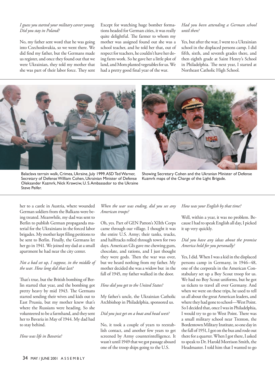#### *I guess you started your military career young. Did you stay in Poland?*

No, my father sent word that he was going into Czechoslovakia, so we went there. We did find my father, but the Germans made us register, and once they found out that we were Ukrainian, they told my mother that she was part of their labor force. They sent

Except for watching huge bomber formations headed for German cities, it was really quite delightful. The farmer to whom my mother was assigned found out she was a school teacher, and he told her that, out of respect for teachers, he couldn't have her doing farm work. So he gave her a little plot of land, and Mom planted vegetables for us. We had a pretty good final year of the war.

## *Had you been attending a German school until then?*

Yes, but after the war, I went to a Ukrainian school in the displaced persons camp. I did fifth, sixth, and seventh grades there, and then eighth grade at Saint Henry's School in Philadelphia. The next year, I started at Northeast Catholic High School.







Showing Secretary Cohen and the Ukranian Minister of Defense Kuzmrk maps of the Charge of the Light Brigade.

her to a castle in Austria, where wounded German soldiers from the Balkans were being treated. Meanwhile, my dad was sent to Berlin to publish German propaganda material for the Ukrainians in the forced labor brigades. My mother kept filing petitions to be sent to Berlin. Finally, the Germans let her go in 1941. We joined my dad at a small apartment he had near the city center.

# *Not a bad set up, I suppose, in the middle of the war. How long did that last?*

That's true, but the British bombing of Berlin started that year, and the bombing got pretty heavy by mid 1943. The Germans started sending their wives and kids out to East Prussia, but my mother knew that's where the Russians were heading. So she volunteered to be a farmhand, and they sent her to Bavaria in May of 1944. My dad had to stay behind.

*How was life in Bavaria?*

# *When the war was ending, did you see any American troops?*

Oh, yes. Part of GEN Patton's XIIth Corps came through our village. I thought it was the entire U.S. Army; their tanks, trucks, and halftracks rolled through town for two days. American GIs gave me chewing gum, chocolate, and rations, and I just thought they were gods. Then the war was over, but we heard nothing from my father. My mother decided she was a widow but in the fall of 1945, my father walked in the door.

#### *How did you get to the United States?*

My father's uncle, the Ukrainian Catholic Archbishop in Philadelphia, sponsored us.

#### *Did you just get on a boat and head west?*

No, it took a couple of years to reestablish contact, and another few years to get screened by Army counterintelligence. It wasn't until 1949 that we got passage aboard one of the troop ships going to the U.S.

#### *How was your English by that time?*

Well, within a year, it was no problem. Because I had to speak English all day, I picked it up very quickly.

#### *Did you have any ideas about the promise America held for you personally?*

Yes, I did. When I was a kid in the displaced persons camp in Germany, in 1946–48, one of the corporals in the American Constabulary set up a Boy Scout troop for us. We had no Boy Scout uniforms, but he got us tickets to travel all over Germany. And when we were on these trips, he used to tell us all about the great American leaders, and where they had gone to school—West Point. So I decided that, once I was in Philadelphia, I would try to go to West Point. There was a small military school near Trenton, the Bordentown Military Institute, so one day in the fall of 1951, I got on the bus and rode out there for a quarter. When I got there, I asked to speak to Dr. Harold Morrison Smith, the Headmaster. I told him that I wanted to go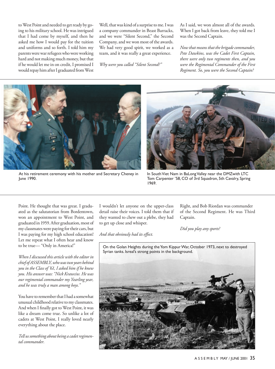to West Point and needed to get ready by going to his military school. He was intrigued that I had come by myself, and then he asked me how I would pay for the tuition and uniforms and so forth. I told him my parents were war refugees who were working hard and not making much money, but that if he would let me in on credit, I promised I would repay him after I graduated from West Well, that was kind of a surprise to me. I was a company commander in Beast Barracks, and we were "Silent Second," the Second Company, and we won most of the awards. We had very good spirit, we worked as a team, and it was really a great experience.

*Why were you called "Silent Second?"*

As I said, we won almost all of the awards. When I got back from leave, they told me I was the Second Captain.

*Now that means that the brigade commander, Pete Dawkins, was the Cadet First Captain, there were only two regiments then, and you were the Regimental Commander of the First Regiment. So, you were the Second Captain?*



At his retirement ceremony with his mother and Secretary Cheney in June 1990.



In South Viet Nam in BaLong Valley near the DMZwith LTC Tom Carpenter '58, CO of 3rd Squadron, 5th Cavalry, Spring 1969.

Point. He thought that was great. I graduated as the salutatorian from Bordentown, won an appointment to West Point, and graduated in 1959. After graduation, most of my classmates were paying for their cars, but I was paying for my high school education! Let me repeat what I often hear and know to be true— "Only in America!"

*When I discussed this article with the editor in chief of ASSEMBLY, who was two years behind you in the Class of '61, I asked him if he knew you. His answer was: "Nick Krawciw. He was our regimental commander my Yearling year, and he was truly a man among boys."* 

You have to remember that I had a somewhat unusual childhood relative to my classmates. And when I finally got to West Point, it was like a dream come true. So unlike a lot of cadets at West Point, I really loved nearly everything about the place.

*Tell us something about being a cadet regimental commander.*

I wouldn't let anyone on the upper-class detail raise their voices. I told them that if they wanted to chew out a plebe, they had to get up close and whisper.

*And that obviously had its effect.*

Right, and Bob Riordan was commander of the Second Regiment. He was Third Captain.

*Did you play any sports?*

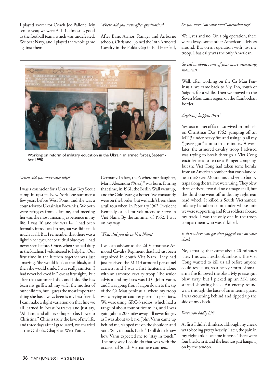I played soccer for Coach Joe Pallone. My senior year, we were 9–1–1, almost as good as the football team, which was undefeated. We beat Navy, and I played the whole game against them.

#### *Where did you serve after graduation?*

After Basic Armor, Ranger and Airborne schools, Chris and I joined the 14th Armored Cavalry in the Fulda Gap in Bad Hersfeld,



Working on reform of military education in the Ukrainian armed forces, September 1990.

#### *When did you meet your wife?*

I was a counselor for a Ukrainian Boy Scout camp in upstate New York one summer a few years before West Point, and she was a counselor for Ukrainian Brownies. We both were refugees from Ukraine, and meeting her was the most amazing experience in my life. I was 16 and she was 14. I had been formally introduced to her, but we didn't talk much at all. But I remember that there was a light in her eyes, her beautiful blue eyes, I had never seen before. Once, when she had duty in the kitchen, I volunteered to help her. Our first time in the kitchen together was just amazing. She would look at me, blush, and then she would smile. I was really smitten. I had never believed in "love at first sight," but after that summer I did, and I do. She has been my girlfriend, my wife, the mother of our children, but I guess the most important thing she has always been is my best friend. I can make a slight variation on that line we all learned in Beast Barracks and just say, "All I am, and all I ever hope to be, I owe to Christina." Chris is truly the love of my life, and three days after I graduated, we married at the Catholic Chapel at West Point.

Germany. In fact, that's where our daughter, Maria Alexandra ("Alex)," was born. During that time, in 1961, the Berlin Wall went up, and the Cold War got hotter. We constantly were on the border, but we hadn't been there a full tour when, in February 1962, President Kennedy called for volunteers to serve in Viet Nam. By the summer of 1962, I was on my way.

#### *What did you do in Viet Nam?*

I was an advisor to the 2d Vietnamese Armored Cavalry Regiment that had just been organized in South Viet Nam. They had just received the M-113 armored personnel carriers, and I was a first lieutenant alone with an armored cavalry troop. The senior advisor and my boss was LTC John Vann, and I was going from Saigon down to the tip of the Ca Mau peninsula, where my troop was carrying on counter-guerrilla operations. We were using GRC-3 radios, which had a range of about four or five miles, and I was going about 200 miles away. I'll never forget, as I was about to leave, John Vann came up behind me, slapped me on the shoulder, and said, "Stay in touch, Nick!" I still don't know how Vann expected me to "stay in touch." The only way I could do that was with the occasional South Vietnamese couriers.

#### *So you were "on your own" operationally?*

Well, yes and no. On a big operation, there were always some other American advisors around. But on an operation with just my troop, I basically was the only American.

# *So tell us about some of your more interesting moments.*

Well, after working on the Ca Mau Peninsula, we came back to My Tho, south of Saigon, for a while. Then we moved to the Seven Mountains region on the Cambodian border.

#### *Anything happen there?*

Yes, as a matter of fact. I survived an ambush on Christmas Day 1962, jumping off an M113 under heavy fire and using up all my "grease gun" ammo in 5 minutes. A week later, the armored cavalry troop I advised was trying to break through a Viet Cong encirclement to rescue a Ranger company, but the Viet Cong had taken some bombs from an American bomber that crash-landed near the Seven Mountains and set up booby traps along the trail we were using. They blew three of these; two did no damage at all, but the third one went off under my right rear road wheel. It killed a South Vietnamese infantry battalion commander whose unit we were supporting and four soldiers aboard my track. I was the only one in the troop compartment who wasn't killed.

# *Is that where you got that jagged scar on your cheek?*

No, actually, that came about 20 minutes later. This was a textbook ambush. The Viet Cong wanted to kill us all before anyone could rescue us, so a heavy storm of small arms fire followed the blast. My grease gun blew away, but I picked up an M-1 and started shooting back. An enemy round went through the base of an antenna guard I was crouching behind and ripped up the side of my cheek.

#### *Were you badly hit?*

At first I didn't think so, although my cheek was bleeding pretty heavily. Later, the pain in my right ankle became intense. There were four breaks in it, and the heel was just hanging on by the tendon.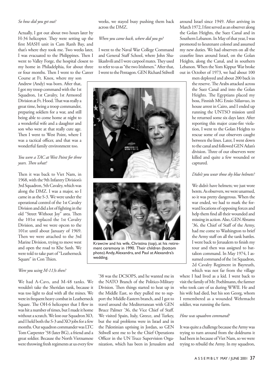#### *So how did you get out?*

Actually, I got out about two hours later by H-34 helicopter. They were setting up the first MASH unit in Cam Ranh Bay, and that's where they took me. Two weeks later, I was evacuated to the Philippines. Then I went to Valley Forge, the hospital closest to my home in Philadelphia, for about three or four months. Then I went to the Career

Course at Ft. Knox, where my son Andrew (Andy) was born. After that, I got my troop command with the 1st Squadron, 1st Cavalry, 1st Armored Division at Ft. Hood. That was really a great time, being a troop commander, preparing soldiers for a war, and still being able to come home at night to a wonderful wife and a daughter and son who were at that really cute age. Then I went to West Point, where I was a tactical officer, and that was a wonderful family environment too.

# *You were a TAC at West Point for three years. Then what?*

Then it was back to Viet Nam, in 1968, with the 9th Infantry Division's 3rd Squadron, 5th Cavalry, which was along the DMZ. I was a major, so I came in as the S-3. We were under the operational control of the 1st Cavalry Division and did a lot of fighting in the old "Street Without Joy" area. Then the 101st replaced the 1st Cavalry Division, and we were opcon to the 101st until about January of 1969. Then we were attached to the 3rd Marine Division, trying to move west and open the road to Khe Sanh. We were told to take part of "Leatherneck Square" in Con Thien.

#### *Were you using M-113s then?*

We had A-Cavs, and M-48 tanks. We wouldn't take the Sheridan tank, because it was too light to deal with all the mines. We were in frequent heavy combat in Leatherneck Square. The OH-6 helicopter that I flew in was hit a number of times, but I made it home without a scratch. We lost our Squadron XO, and I held both the S-3 and XO jobs for a few months. Our squadron commander was LTC Tom Carpenter '58 (later BG), a friend and a great soldier. Because the North Vietnamese were throwing fresh regiments at us every few

weeks, we stayed busy pushing them back across the DMZ.

#### *When you came back, where did you go?*

I went to the Naval War College Command and General Staff School, where John Shalikashvili and I were carpool mates. They used to refer to us as "the two Irishmen." After that, I went to the Pentagon. GEN Richard Stilwell



Krawciw and his wife, Christina (top), at his retirement ceremony in 1990. Their children (bottom photo) Andy, Alexandra, and Paul at Alexandra's wedding.

'38 was the DCSOPS, and he wanted me in the NATO Branch of the Politico-Military Division. Then things started to heat up in the Middle East, so they pulled me to support the Middle-Eastern branch, and I got to travel around the Mediterranean with GEN Bruce Palmer '36, the Vice Chief of Staff. We visited Spain, Italy, Greece, and Turkey, but the real problems were in Israel and in the Palestinian uprising in Jordan, so GEN Stilwell sent me to be the Chief Operations Officer in the UN Truce Supervision Organization, which has been in Jerusalem and

around Israel since 1949. After arriving in March 1972, I first served as an observer along the Golan Heights, the Suez Canal and in Southern Lebanon. In May of that year, I was promoted to lieutenant colonel and assumed my new duties. We had observers on all the ceasefire lines around Israel, on the Golan Heights, along the Canal, and in southern Lebanon. When the Yom Kippur War broke out in October of 1973, we had about 100

men deployed and about 200 back in the reserve. The Arabs attacked across the Suez Canal and into the Golan Heights. The Egyptians placed my boss, Finnish MG Ensio Siilasvuo, in house arrest in Cairo, and I ended up running the UNTSO mission until he returned some six days later. After reporting this major cease-fire violation, I went to the Golan Heights to rescue some of our observers caught between the lines. Later, I went down to the canal and followed GEN Adan's division. Three of our observers were killed and quite a few wounded or captured.

# *Didn't you wear those sky blue helmets?*

We didn't have helmets; we just wore berets. As observers, we were unarmed, so it was pretty dangerous. When the war ended, we had to mark the forward locations of opposing forces and help them find all their wounded and missing in action. Also, GEN Abrams '36, the Chief of Staff of the Army, had me come to Washington to brief the Army staff on all the tank battles. I went back to Jerusalem to finish my tour and then was assigned to battalion command. In May 1974, I assumed command of the 1st Squadron, 2d Cavalry Regiment in Bayreuth, which was not far from the village

where I had lived as a kid. I went back to visit the family of Mr. Poehlmann, the farmer who took care of us during WWII. He and his wife had died, but his son Georg, whom I remembered as a wounded Wehrmacht soldier, was running the farm.

#### *How was squadron command?*

It was quite a challenge because the Army was trying to turn around from the doldrums it had been in because of Viet Nam, so we were trying to rebuild the Army. In my squadron,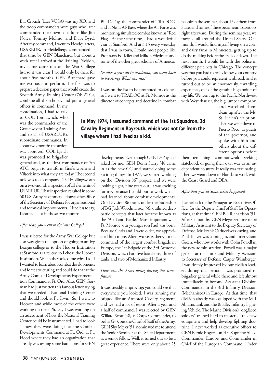Bill Crouch (later VCSA) was my XO, and the troop commanders were guys who later commanded their own squadrons like Jim Noles, Tommy Molino, and Dave Byrd. After my command, I went to Headquarters, USAREUR, in Heidelberg, commanded at that time by GEN Blanchard, but about a week after I arrived at the Training Division, my name came out on the War College list, so it was clear I would only be there for about five months. GEN Blanchard gave me two tasks to perform. The first was to prepare a decision paper that would create the Seventh Army Training Center (7th ATC), combine all the schools, and put a general

officer in command. In my coordination, I had to talk to COL Tom Lynch, who was the commander of the Grafenwoehr Training Area, and to all of USAREUR's subordinate commands. In about two months the action was approved, COL Lynch was promoted to brigadier

general and, as the first commander of 7th ATC, began to transform Grafenwoehr and Vilseck into what they are today. The second task was to accompany LTG Hollingsworth on a two-month inspection of all elements of USAREUR. That inspection resulted in some 50 U.S. Army recommendations to the Office of the Secretary of Defense for organizational and technical improvements. Needless to say, I learned a lot in those two months.

#### *After that, you went to the War College?*

I was selected for the Army War College but also was given the option of going to an Ivy League college or to the Hoover Institution at Stanford as a fellow, so I chose the Hoover Institution. When they asked me why, I said I wanted to learn about combat developments and force structuring and could do that at the Army Combat Developments Experimentation Command at Ft. Ord. Also, GEN Gorman had just written this famous letter saying that we needed a National Training Center and should look at Ft. Irwin. So, I went to Hoover, and while most of the others were working on their Ph.D.s, I was working on an assessment of how the National Training Center could be instrumented. I had to look at how they were doing it at the Combat Developments Command at Ft. Ord, at Ft. Hood where they had an organization that already was testing some battalions for GEN

Bill DePuy, the commander of TRADOC, and at Nellis AF Base, where the Air Force was monitoring simulated combat known as "Red Flag." At the same time, I had a wonderful year at Stanford. And at 3:15 every weekday that I was in town, I could meet people like Professors Ed Teller and Milton Friedman and some of the other great scholars of America.

#### *So after a year off in academia, you went back to the Army. What was next?*

I was on the list to be promoted to colonel, so I went to TRADOC at Ft. Monroe as the director of concepts and doctrine in combat

# **In May 1974, I assumed command of the 1st Squadron, 2d Cavalry Regiment in Bayreuth, which was not far from the village where I had lived as a kid.**

developments. Even though GEN DePuy had asked for me, GEN Donn Starry '48 came in as the new CG and started doing some exciting things. In 1977, we started working on the "Division 86" project, and we were looking eight, nine years out. It was exciting for me, because I could put to work what I had learned about combat developments. Our Division 86 team, under the leadership of BG Jack Woodmansee '56, outlined deep battle concepts that later became known as the "Air-Land Battle." Most importantly, at Ft. Monroe, our younger son Paul was born. Because Chris and I were older, we appreciated him more. After two years there, I took command of the largest combat brigade in Europe, the 1st Brigade of the 3rd Armored Division, which had five battalions, three of tanks and two of Mechanized Infantry.

#### *How was the Army doing during this timeframe?*

It was steadily improving; you could see that everywhere you looked. I was running my brigade like an Armored Cavalry regiment, and we had a lot of esprit. After a year and a half of command, I was selected by GEN Willard Scott '48, V Corps Commander, to be his G-3, but the Chief of Staff of the Army, GEN Shy Meyer '51, nominated me to attend the Senior Seminar at the State Department, as a senior fellow. Well, it turned out to be a great experience. There were only about 25 people in the seminar, about 15 of them from State, and some of these became ambassadors right afterward. During the seminar year, we traveled all around the United States. One month, I would find myself living on a corn and dairy farm in Minnesota, getting up to do the milking before the crack of dawn. The next month, I would be with the police in different precincts in Chicago. The concept was that you had to really know your country before you could represent it abroad, and it turned out to be an enormously rewarding experience, one of the genuine high points of my life. We went up to the Pacific Northwest with Weyerhauser, the big lumber company,

> and watched them clean up after the Mt. St. Helen's eruption. Then we went down to Puerto Rico, as guests of the governor, and spoke with him and others about the different options before

them: remaining a commonwealth, seeking statehood, or going their own way as an independent country. It really was fascinating. Then we went down to Florida to work with the Coast Guard and DEA.

#### *After that year at State, what happened?*

I came back to the Pentagon as Executive Officer for the Deputy Chief of Staff for Operations, at that time GEN Bill Richardson '51. After six months, GEN Meyer sent me to be Military Assistant to the Deputy Secretary of Defense. Mr. Frank Carlucci was leaving, and Paul Thayer was coming in, and I met Grant Green, who now works with Colin Powell in the new administration. Powell was a major general at that time and Military Assistant to Secretary of Defense Casper Weinberger. I was deeply impressed by our civilian leaders during that period. I was promoted to brigadier general while there and left almost immediately to become Assistant Division Commander in the 3rd Infantry Division (Mechanized) in Europe. At that time, that division already was equipped with the M-1 Abrams tank and the Bradley Infantry Fighting Vehicle. The Marne Division's "dogfaced soldiers" trained hard to master all this new equipment and help develop fighting doctrine. I next worked as executive officer to GEN Bernie Rogers Jun '43, Supreme Allied Commander, Europe, and Commander in Chief of the European Command. Under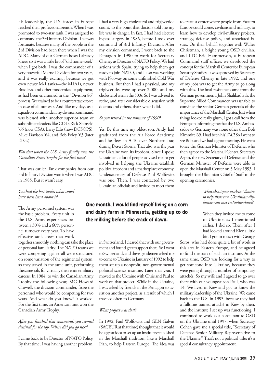his leadership, the U.S. forces in Europe reached their professional zenith. When I was promoted to two-star rank, I was assigned to command the 3rd Infantry Division. That was fortunate, because many of the people in the 3rd Division had been there when I was the ADC. Many of our German hosts I already knew, so it was a little bit of "old home week" when I got back. I was the commander of a very powerful Marne Division for two years, and it was really exciting, because we got even newer M-1 tanks—the M1A1s, newer Bradleys, and other modernized equipment, as had been envisioned in the "Division 86" process. We trained to be a counterattack force in case of all-out war. And like my days as a squadron commander, my division command was blessed with another superior team of subordinate leaders like COLs Rick Shinseki '65 (now CSA), Larry Ellis (now DCSOPS), Mike Davison '64, and Bob Foley '63 (later LTGs).

# *Was that when the U.S. Army finally won the Canadian Army Trophy for the first time?*

That was earlier. Tank companies from our 3rd Infantry Division won it when I was ADC in 1985. But it wasn't easy.

## *You had the best tanks; what could have been hard about it?*

The Army personnel system was the basic problem. Every unit in the U.S. Army experiences between a 30% and a 60% personnel turnover every year. To have effective tank crews that work

together smoothly, nothing can take the place of personal familiarity. The NATO teams we were competing against all were structured on some variation of the regimental system, so they stayed in the same unit, performing the same job, for virtually their entire military careers. In 1984, to win the Canadian Army Trophy the following year, MG Howard Crowell, the division commander, froze the personnel who would be competing for two years. And what do you know? It worked! For the first time, an American unit won the Canadian Army Trophy.

# *After you finished that command, you seemed destined for the top. Where did you go next?*

I came back to be Director of NATO Policy. By that time, I was having another problem. I had a very high cholesterol and triglyceride count, to the point that doctors told me my life was in danger. In fact, I had had elective bypass surgery in 1986, before I took over command of 3rd Infantry Division. After my division command, I went back to the Pentagon in 1990 to work for Secretary Cheney as Director of NATO Policy. We had actions with Spain, trying to help them get ready to join NATO, and I also was working with Norway on some unfinished Cold War business. But then I had a physical, and my triglycerides were up over 2,000, and my cholesterol was in the 500s. So I was advised to retire, and after considerable discussion with doctors and others, that's what I did.

# *So you retired in the summer of 1990?*

Yes. By this time my oldest son, Andy, had graduated from the Air Force Academy, and he flew an A-10 over Northern Iraq during Desert Storm. That also was the year the Ukraine won its freedom. Since I spoke Ukrainian, a lot of people advised me to get involved in helping the Ukraine establish political freedom and a marketplace economy. Undersecretary of Defense Paul Wolfowitz was one. Then, I was contacted by two Ukrainian officials and invited to meet them

# **One month, I would find myself living on a corn and dairy farm in Minnesota, getting up to do the milking before the crack of dawn.**

in Switzerland. I cleared that with our government and found great support there. So I went to Switzerland, and these gentlemen asked me to come to Ukraine in January of 1992 to help them set up a nonprofit, non-governmental political science institute. Later that year, I moved to the Ukraine with Chris and Paul to work on that project. While in the Ukraine, I was asked by friends in the Pentagon to assist on another project, as a result of which I traveled often to Germany.

# *What project was that?*

In 1992, Paul Wolfowitz and GEN Galvin (SACEUR at that time) thought that it would be a great idea to set up an institute established in the Marshall tradition, like a Marshall Plan, to help Eastern Europe. The idea was

to create a center where people from Eastern Europe could come, civilians and military, to learn how to develop civil-military projects, strategy, defense policy, and associated issues. On their behalf, together with Walter Christman, a bright young OSD civilian, and LTC Eric Hammerson, a European Command staff officer, we developed the concept for the Marshall Center for European Security Studies. It was approved by Secretary of Defense Cheney in late 1992, and one of my jobs was to get the Army to go along with this. The final resistance came from the German government. John Shalikashvili, the Supreme Allied Commander, was unable to convince the senior German generals of the importance of the Marshall Center. Just when things looked really glum, I got a call from the Pentagon informing me that the U.S. Ambassador to Germany was none other than Bob Kimmitt '69. I had been his TAC! So I went to see Bob, and we had a great meeting. He went to see the German Minister of Defense, who then agreed to the Marshall Center. Secretary Aspin, the new Secretary of Defense, and the German Minister of Defense were able to open the Marshall Center on 5 May 1993. I brought the Ukrainian Chief of Staff to the opening ceremonies.

> *What about your work in Ukraine to help those two Ukrainian diplomats you met in Switzerland?*

> When they invited me to come to Ukraine, as I mentioned earlier, I did so. Then, after I had looked around Kiev a little bit, I got in touch with George

Soros, who had done quite a bit of work in this area in Eastern Europe, and he agreed to fund the start of such an institute. At the same time, OSD was looking for a way to get someone into Ukraine, because they were going through a number of temporary attachés. So my wife and I agreed to go over there with our youngest son Paul, who was 14. We lived in Kiev and got to know the military leadership of the Ukraine. We came back to the U.S. in 1993, because they had a fulltime trained attaché in Kiev by then, and the institute I set up was functioning. I continued to work as a consultant to OSD on the Ukraine until 1997, when Secretary Cohen gave me a special title, "Secretary of Defense Senior Military Representative to the Ukraine." That's not a political title; it's a special consultancy appointment.